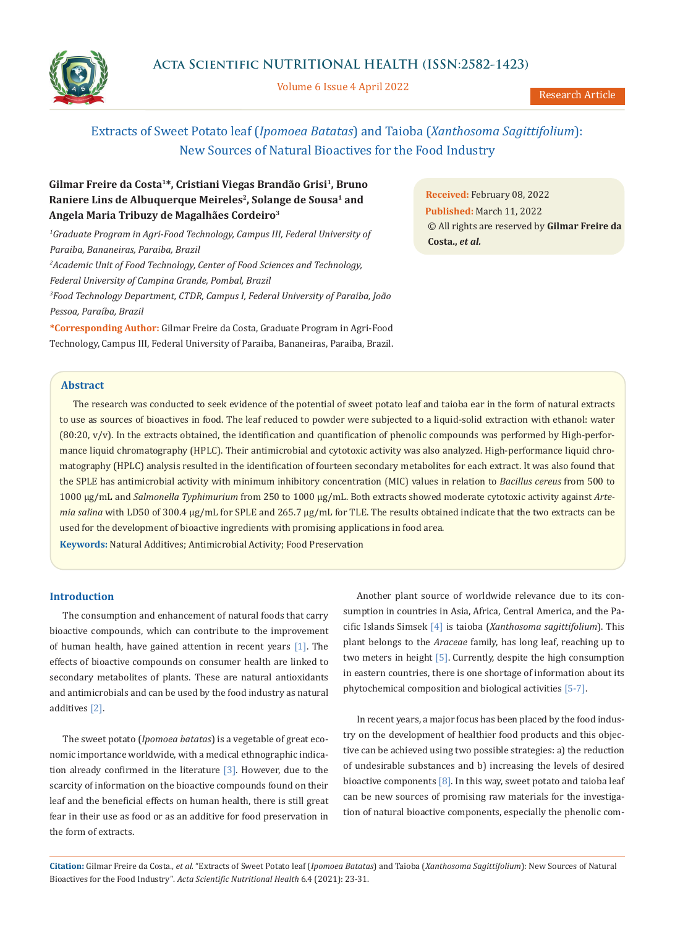

Volume 6 Issue 4 April 2022

# **Gilmar Freire da Costa1\*, Cristiani Viegas Brandão Grisi1, Bruno**  Raniere Lins de Albuquerque Meireles<sup>2</sup>, Solange de Sousa<sup>1</sup> and **Angela Maria Tribuzy de Magalhães Cordeiro3**

<sup>1</sup>Graduate Program in Agri-Food Technology, Campus III, Federal University of *Paraiba, Bananeiras, Paraiba, Brazil 2 Academic Unit of Food Technology, Center of Food Sciences and Technology, Federal University of Campina Grande, Pombal, Brazil 3 Food Technology Department, CTDR, Campus I, Federal University of Paraiba, João Pessoa, Paraíba, Brazil*

**\*Corresponding Author:** Gilmar Freire da Costa, Graduate Program in Agri-Food Technology, Campus III, Federal University of Paraiba, Bananeiras, Paraiba, Brazil.

**Received:** February 08, 2022 **Published:** March 11, 2022 © All rights are reserved by **Gilmar Freire da Costa.,** *et al.*

## **Abstract**

The research was conducted to seek evidence of the potential of sweet potato leaf and taioba ear in the form of natural extracts to use as sources of bioactives in food. The leaf reduced to powder were subjected to a liquid-solid extraction with ethanol: water  $(80:20, v/v)$ . In the extracts obtained, the identification and quantification of phenolic compounds was performed by High-performance liquid chromatography (HPLC). Their antimicrobial and cytotoxic activity was also analyzed. High-performance liquid chromatography (HPLC) analysis resulted in the identification of fourteen secondary metabolites for each extract. It was also found that the SPLE has antimicrobial activity with minimum inhibitory concentration (MIC) values in relation to *Bacillus cereus* from 500 to 1000 µg/mL and *Salmonella Typhimurium* from 250 to 1000 µg/mL. Both extracts showed moderate cytotoxic activity against *Artemia salina* with LD50 of 300.4 µg/mL for SPLE and 265.7 µg/mL for TLE. The results obtained indicate that the two extracts can be used for the development of bioactive ingredients with promising applications in food area.

**Keywords:** Natural Additives; Antimicrobial Activity; Food Preservation

## **Introduction**

The consumption and enhancement of natural foods that carry bioactive compounds, which can contribute to the improvement of human health, have gained attention in recent years [1]. The effects of bioactive compounds on consumer health are linked to secondary metabolites of plants. These are natural antioxidants and antimicrobials and can be used by the food industry as natural additives [2].

The sweet potato (*Ipomoea batatas*) is a vegetable of great economic importance worldwide, with a medical ethnographic indication already confirmed in the literature  $[3]$ . However, due to the scarcity of information on the bioactive compounds found on their leaf and the beneficial effects on human health, there is still great fear in their use as food or as an additive for food preservation in the form of extracts.

Another plant source of worldwide relevance due to its consumption in countries in Asia, Africa, Central America, and the Pacific Islands Simsek [4] is taioba (*Xanthosoma sagittifolium*). This plant belongs to the *Araceae* family, has long leaf, reaching up to two meters in height [5]. Currently, despite the high consumption in eastern countries, there is one shortage of information about its phytochemical composition and biological activities [5-7].

In recent years, a major focus has been placed by the food industry on the development of healthier food products and this objective can be achieved using two possible strategies: a) the reduction of undesirable substances and b) increasing the levels of desired bioactive components  $[8]$ . In this way, sweet potato and taioba leaf can be new sources of promising raw materials for the investigation of natural bioactive components, especially the phenolic com-

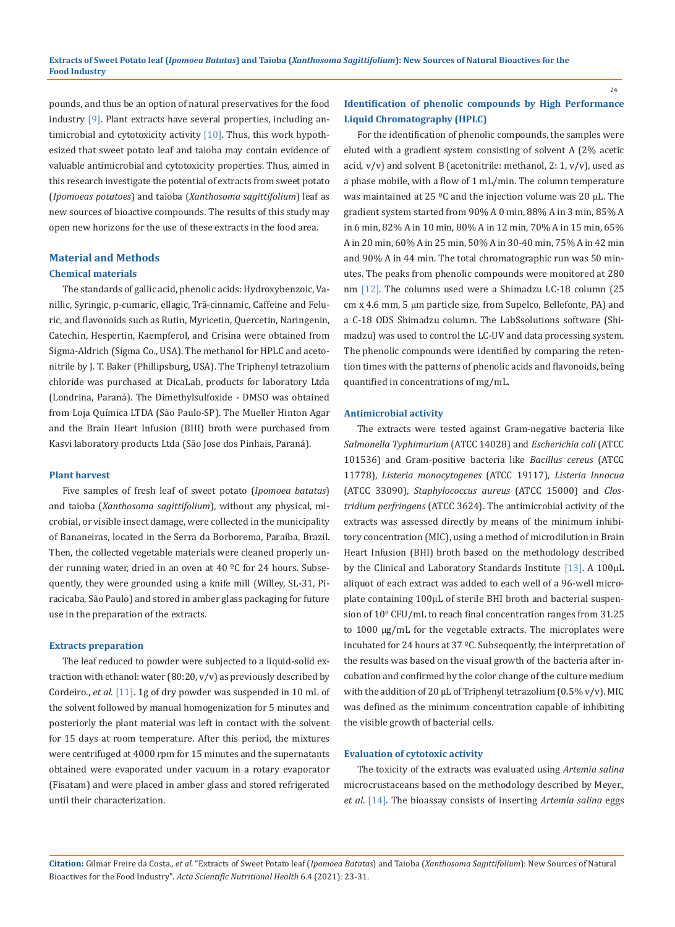pounds, and thus be an option of natural preservatives for the food industry [9]. Plant extracts have several properties, including antimicrobial and cytotoxicity activity  $[10]$ . Thus, this work hypothesized that sweet potato leaf and taioba may contain evidence of valuable antimicrobial and cytotoxicity properties. Thus, aimed in this research investigate the potential of extracts from sweet potato (*Ipomoeas potatoes*) and taioba (*Xanthosoma sagittifolium*) leaf as new sources of bioactive compounds. The results of this study may open new horizons for the use of these extracts in the food area.

## **Material and Methods**

#### **Chemical materials**

The standards of gallic acid, phenolic acids: Hydroxybenzoic, Vanillic, Syringic, p-cumaric, ellagic, Trã-cinnamic, Caffeine and Feluric, and flavonoids such as Rutin, Myricetin, Quercetin, Naringenin, Catechin, Hespertin, Kaempferol, and Crisina were obtained from Sigma-Aldrich (Sigma Co., USA). The methanol for HPLC and acetonitrile by J. T. Baker (Phillipsburg, USA). The Triphenyl tetrazolium chloride was purchased at DicaLab, products for laboratory Ltda (Londrina, Paraná). The Dimethylsulfoxide - DMSO was obtained from Loja Química LTDA (São Paulo-SP). The Mueller Hinton Agar and the Brain Heart Infusion (BHI) broth were purchased from Kasvi laboratory products Ltda (São Jose dos Pinhais, Paraná).

#### **Plant harvest**

Five samples of fresh leaf of sweet potato (*Ipomoea batatas*) and taioba (*Xanthosoma sagittifolium*), without any physical, microbial, or visible insect damage, were collected in the municipality of Bananeiras, located in the Serra da Borborema, Paraíba, Brazil. Then, the collected vegetable materials were cleaned properly under running water, dried in an oven at 40 ºC for 24 hours. Subsequently, they were grounded using a knife mill (Willey, SL-31, Piracicaba, São Paulo) and stored in amber glass packaging for future use in the preparation of the extracts.

### **Extracts preparation**

The leaf reduced to powder were subjected to a liquid-solid extraction with ethanol: water (80:20, v/v) as previously described by Cordeiro., *et al*. [11]. 1g of dry powder was suspended in 10 mL of the solvent followed by manual homogenization for 5 minutes and posteriorly the plant material was left in contact with the solvent for 15 days at room temperature. After this period, the mixtures were centrifuged at 4000 rpm for 15 minutes and the supernatants obtained were evaporated under vacuum in a rotary evaporator (Fisatam) and were placed in amber glass and stored refrigerated until their characterization.

## **Identification of phenolic compounds by High Performance Liquid Chromatography (HPLC)**

For the identification of phenolic compounds, the samples were eluted with a gradient system consisting of solvent A (2% acetic acid,  $v/v$ ) and solvent B (acetonitrile: methanol, 2: 1,  $v/v$ ), used as a phase mobile, with a flow of 1 mL/min. The column temperature was maintained at 25 ºC and the injection volume was 20 μL. The gradient system started from 90% A 0 min, 88% A in 3 min, 85% A in 6 min, 82% A in 10 min, 80% A in 12 min, 70% A in 15 min, 65% A in 20 min, 60% A in 25 min, 50% A in 30-40 min, 75% A in 42 min and 90% A in 44 min. The total chromatographic run was 50 minutes. The peaks from phenolic compounds were monitored at 280 nm [12]. The columns used were a Shimadzu LC-18 column (25 cm x 4.6 mm, 5 μm particle size, from Supelco, Bellefonte, PA) and a C-18 ODS Shimadzu column. The LabSsolutions software (Shimadzu) was used to control the LC-UV and data processing system. The phenolic compounds were identified by comparing the retention times with the patterns of phenolic acids and flavonoids, being quantified in concentrations of mg/mL.

#### **Antimicrobial activity**

The extracts were tested against Gram-negative bacteria like *Salmonella Typhimurium* (ATCC 14028) and *Escherichia coli* (ATCC 101536) and Gram-positive bacteria like *Bacillus cereus* (ATCC 11778), *Listeria monocytogenes* (ATCC 19117), *Listeria Innocua* (ATCC 33090), *Staphylococcus aureus* (ATCC 15000) and *Clostridium perfringens* (ATCC 3624). The antimicrobial activity of the extracts was assessed directly by means of the minimum inhibitory concentration (MIC), using a method of microdilution in Brain Heart Infusion (BHI) broth based on the methodology described by the Clinical and Laboratory Standards Institute [13]. A 100µL aliquot of each extract was added to each well of a 96-well microplate containing 100µL of sterile BHI broth and bacterial suspension of 108 CFU/mL to reach final concentration ranges from 31.25 to 1000 µg/mL for the vegetable extracts. The microplates were incubated for 24 hours at 37 ºC. Subsequently, the interpretation of the results was based on the visual growth of the bacteria after incubation and confirmed by the color change of the culture medium with the addition of 20  $\mu$ L of Triphenyl tetrazolium (0.5% v/v). MIC was defined as the minimum concentration capable of inhibiting the visible growth of bacterial cells.

#### **Evaluation of cytotoxic activity**

The toxicity of the extracts was evaluated using *Artemia salina* microcrustaceans based on the methodology described by Meyer., *et al*. [14]. The bioassay consists of inserting *Artemia salina* eggs

**Citation:** Gilmar Freire da Costa*., et al.* "Extracts of Sweet Potato leaf (*Ipomoea Batatas*) and Taioba (*Xanthosoma Sagittifolium*): New Sources of Natural Bioactives for the Food Industry". *Acta Scientific Nutritional Health* 6.4 (2021): 23-31.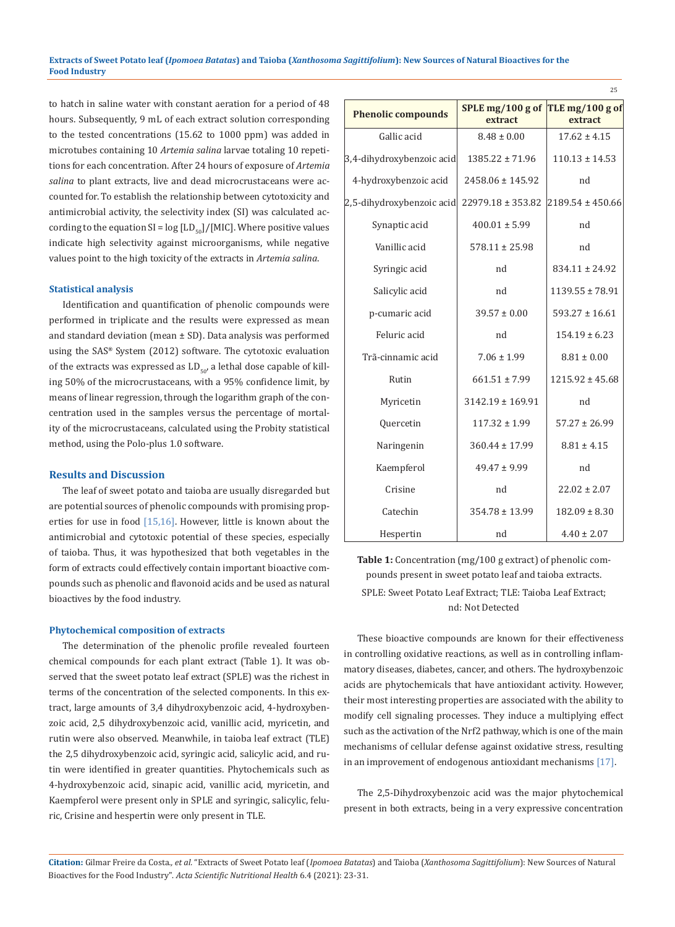to hatch in saline water with constant aeration for a period of 48 hours. Subsequently, 9 mL of each extract solution corresponding to the tested concentrations (15.62 to 1000 ppm) was added in microtubes containing 10 *Artemia salina* larvae totaling 10 repetitions for each concentration. After 24 hours of exposure of *Artemia salina* to plant extracts, live and dead microcrustaceans were accounted for. To establish the relationship between cytotoxicity and antimicrobial activity, the selectivity index (SI) was calculated according to the equation  $SI = log [LD_{50}] / [MIC]$ . Where positive values indicate high selectivity against microorganisms, while negative values point to the high toxicity of the extracts in *Artemia salina*.

#### **Statistical analysis**

Identification and quantification of phenolic compounds were performed in triplicate and the results were expressed as mean and standard deviation (mean  $\pm$  SD). Data analysis was performed using the SAS**®** System (2012) software. The cytotoxic evaluation of the extracts was expressed as  $LD_{50}$ , a lethal dose capable of killing 50% of the microcrustaceans, with a 95% confidence limit, by means of linear regression, through the logarithm graph of the concentration used in the samples versus the percentage of mortality of the microcrustaceans, calculated using the Probity statistical method, using the Polo-plus 1.0 software.

#### **Results and Discussion**

The leaf of sweet potato and taioba are usually disregarded but are potential sources of phenolic compounds with promising properties for use in food [15,16]. However, little is known about the antimicrobial and cytotoxic potential of these species, especially of taioba. Thus, it was hypothesized that both vegetables in the form of extracts could effectively contain important bioactive compounds such as phenolic and flavonoid acids and be used as natural bioactives by the food industry.

#### **Phytochemical composition of extracts**

The determination of the phenolic profile revealed fourteen chemical compounds for each plant extract (Table 1). It was observed that the sweet potato leaf extract (SPLE) was the richest in terms of the concentration of the selected components. In this extract, large amounts of 3,4 dihydroxybenzoic acid, 4-hydroxybenzoic acid, 2,5 dihydroxybenzoic acid, vanillic acid, myricetin, and rutin were also observed. Meanwhile, in taioba leaf extract (TLE) the 2,5 dihydroxybenzoic acid, syringic acid, salicylic acid, and rutin were identified in greater quantities. Phytochemicals such as 4-hydroxybenzoic acid, sinapic acid, vanillic acid, myricetin, and Kaempferol were present only in SPLE and syringic, salicylic, feluric, Crisine and hespertin were only present in TLE.

| <b>Phenolic compounds</b> | SPLE mg/100 g of TLE mg/100 g of<br>extract | extract               |
|---------------------------|---------------------------------------------|-----------------------|
| Gallic acid               | $8.48 \pm 0.00$                             | $17.62 \pm 4.15$      |
| 3,4-dihydroxybenzoic acid | $1385.22 \pm 71.96$                         | $110.13 \pm 14.53$    |
| 4-hydroxybenzoic acid     | $2458.06 \pm 145.92$                        | nd                    |
| 2,5-dihydroxybenzoic acid | $22979.18 \pm 353.82$                       | $ 2189.54 \pm 450.66$ |
| Synaptic acid             | $400.01 \pm 5.99$                           | nd                    |
| Vanillic acid             | $578.11 \pm 25.98$                          | nd                    |
| Syringic acid             | nd                                          | $834.11 \pm 24.92$    |
| Salicylic acid            | nd                                          | $1139.55 \pm 78.91$   |
| p-cumaric acid            | $39.57 \pm 0.00$                            | $593.27 \pm 16.61$    |
| Feluric acid              | nd                                          | $154.19 \pm 6.23$     |
| Trã-cinnamic acid         | $7.06 \pm 1.99$                             | $8.81 \pm 0.00$       |
| Rutin                     | $661.51 \pm 7.99$                           | $1215.92 \pm 45.68$   |
| Myricetin                 | $3142.19 \pm 169.91$                        | nd                    |
| Quercetin                 | $117.32 \pm 1.99$                           | $57.27 \pm 26.99$     |
| Naringenin                | $360.44 \pm 17.99$                          | $8.81 \pm 4.15$       |
| Kaempferol                | $49.47 \pm 9.99$                            | nd                    |
| Crisine                   | nd                                          | $22.02 \pm 2.07$      |
| Catechin                  | $354.78 \pm 13.99$                          | $182.09 \pm 8.30$     |
| Hespertin                 | nd                                          | $4.40 \pm 2.07$       |

25

**Table 1:** Concentration (mg/100 g extract) of phenolic compounds present in sweet potato leaf and taioba extracts. SPLE: Sweet Potato Leaf Extract; TLE: Taioba Leaf Extract; nd: Not Detected

These bioactive compounds are known for their effectiveness in controlling oxidative reactions, as well as in controlling inflammatory diseases, diabetes, cancer, and others. The hydroxybenzoic acids are phytochemicals that have antioxidant activity. However, their most interesting properties are associated with the ability to modify cell signaling processes. They induce a multiplying effect such as the activation of the Nrf2 pathway, which is one of the main mechanisms of cellular defense against oxidative stress, resulting in an improvement of endogenous antioxidant mechanisms [17].

The 2,5-Dihydroxybenzoic acid was the major phytochemical present in both extracts, being in a very expressive concentration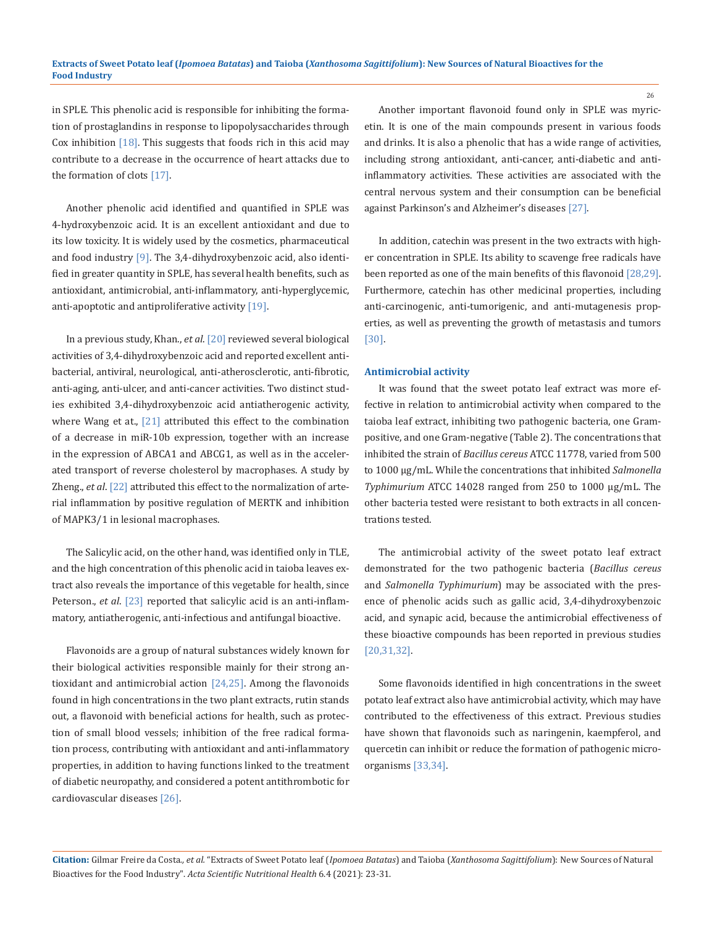in SPLE. This phenolic acid is responsible for inhibiting the formation of prostaglandins in response to lipopolysaccharides through Cox inhibition  $[18]$ . This suggests that foods rich in this acid may contribute to a decrease in the occurrence of heart attacks due to the formation of clots [17].

Another phenolic acid identified and quantified in SPLE was 4-hydroxybenzoic acid. It is an excellent antioxidant and due to its low toxicity. It is widely used by the cosmetics, pharmaceutical and food industry [9]. The 3,4-dihydroxybenzoic acid, also identified in greater quantity in SPLE, has several health benefits, such as antioxidant, antimicrobial, anti-inflammatory, anti-hyperglycemic, anti-apoptotic and antiproliferative activity  $[19]$ .

In a previous study, Khan., *et al*. [20] reviewed several biological activities of 3,4-dihydroxybenzoic acid and reported excellent antibacterial, antiviral, neurological, anti-atherosclerotic, anti-fibrotic, anti-aging, anti-ulcer, and anti-cancer activities. Two distinct studies exhibited 3,4-dihydroxybenzoic acid antiatherogenic activity, where Wang et at., [21] attributed this effect to the combination of a decrease in miR-10b expression, together with an increase in the expression of ABCA1 and ABCG1, as well as in the accelerated transport of reverse cholesterol by macrophases. A study by Zheng., *et al*. [22] attributed this effect to the normalization of arterial inflammation by positive regulation of MERTK and inhibition of MAPK3/1 in lesional macrophases.

The Salicylic acid, on the other hand, was identified only in TLE, and the high concentration of this phenolic acid in taioba leaves extract also reveals the importance of this vegetable for health, since Peterson., *et al*. [23] reported that salicylic acid is an anti-inflammatory, antiatherogenic, anti-infectious and antifungal bioactive.

Flavonoids are a group of natural substances widely known for their biological activities responsible mainly for their strong antioxidant and antimicrobial action  $[24,25]$ . Among the flavonoids found in high concentrations in the two plant extracts, rutin stands out, a flavonoid with beneficial actions for health, such as protection of small blood vessels; inhibition of the free radical formation process, contributing with antioxidant and anti-inflammatory properties, in addition to having functions linked to the treatment of diabetic neuropathy, and considered a potent antithrombotic for cardiovascular diseases [26].

Another important flavonoid found only in SPLE was myricetin. It is one of the main compounds present in various foods and drinks. It is also a phenolic that has a wide range of activities, including strong antioxidant, anti-cancer, anti-diabetic and antiinflammatory activities. These activities are associated with the central nervous system and their consumption can be beneficial against Parkinson's and Alzheimer's diseases [27].

In addition, catechin was present in the two extracts with higher concentration in SPLE. Its ability to scavenge free radicals have been reported as one of the main benefits of this flavonoid [28,29]. Furthermore, catechin has other medicinal properties, including anti-carcinogenic, anti-tumorigenic, and anti-mutagenesis properties, as well as preventing the growth of metastasis and tumors [30].

#### **Antimicrobial activity**

It was found that the sweet potato leaf extract was more effective in relation to antimicrobial activity when compared to the taioba leaf extract, inhibiting two pathogenic bacteria, one Grampositive, and one Gram-negative (Table 2). The concentrations that inhibited the strain of *Bacillus cereus* ATCC 11778, varied from 500 to 1000 µg/mL. While the concentrations that inhibited *Salmonella Typhimurium* ATCC 14028 ranged from 250 to 1000 µg/mL. The other bacteria tested were resistant to both extracts in all concentrations tested.

The antimicrobial activity of the sweet potato leaf extract demonstrated for the two pathogenic bacteria (*Bacillus cereus* and *Salmonella Typhimurium*) may be associated with the presence of phenolic acids such as gallic acid, 3,4-dihydroxybenzoic acid, and synapic acid, because the antimicrobial effectiveness of these bioactive compounds has been reported in previous studies [20,31,32].

Some flavonoids identified in high concentrations in the sweet potato leaf extract also have antimicrobial activity, which may have contributed to the effectiveness of this extract. Previous studies have shown that flavonoids such as naringenin, kaempferol, and quercetin can inhibit or reduce the formation of pathogenic microorganisms [33,34].

**Citation:** Gilmar Freire da Costa*., et al.* "Extracts of Sweet Potato leaf (*Ipomoea Batatas*) and Taioba (*Xanthosoma Sagittifolium*): New Sources of Natural Bioactives for the Food Industry". *Acta Scientific Nutritional Health* 6.4 (2021): 23-31.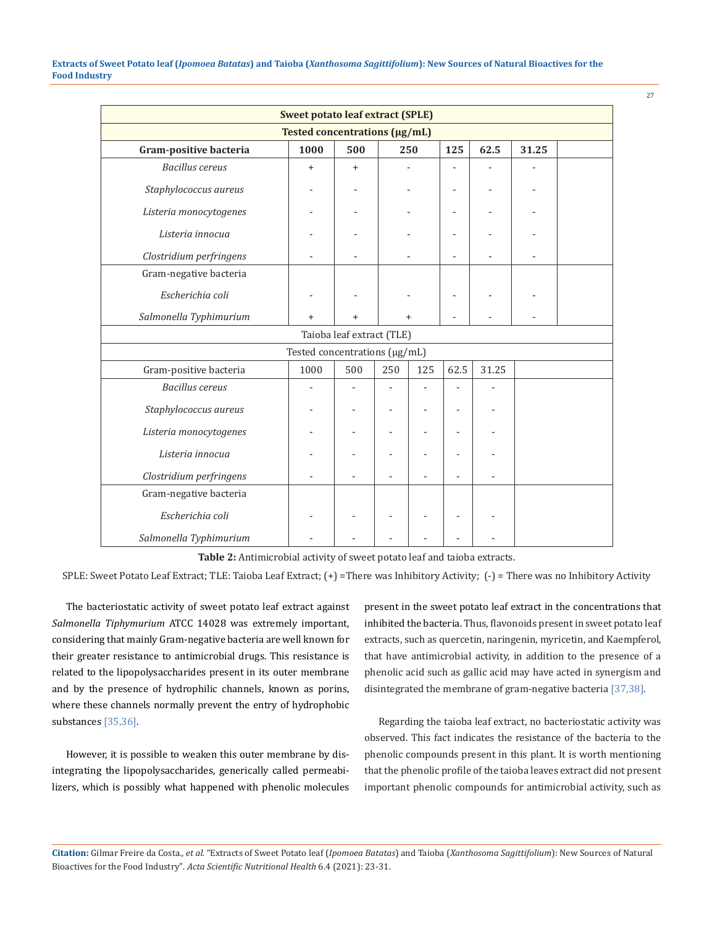| <b>Sweet potato leaf extract (SPLE)</b> |           |           |     |           |                |       |       |  |
|-----------------------------------------|-----------|-----------|-----|-----------|----------------|-------|-------|--|
| Tested concentrations (µg/mL)           |           |           |     |           |                |       |       |  |
| Gram-positive bacteria                  | 1000      | 500       |     | 250       | 125            | 62.5  | 31.25 |  |
| <b>Bacillus</b> cereus                  | $\ddot{}$ | $\ddot{}$ |     |           |                |       |       |  |
| Staphylococcus aureus                   |           |           |     |           |                |       |       |  |
| Listeria monocytogenes                  |           |           |     |           | $\overline{a}$ |       |       |  |
| Listeria innocua                        |           |           |     |           |                |       |       |  |
| Clostridium perfringens                 |           |           |     |           |                |       |       |  |
| Gram-negative bacteria                  |           |           |     |           |                |       |       |  |
| Escherichia coli                        |           |           |     |           |                |       |       |  |
| Salmonella Typhimurium                  | +         |           |     | $\ddot{}$ |                |       |       |  |
| Taioba leaf extract (TLE)               |           |           |     |           |                |       |       |  |
| Tested concentrations (µg/mL)           |           |           |     |           |                |       |       |  |
| Gram-positive bacteria                  | 1000      | 500       | 250 | 125       | 62.5           | 31.25 |       |  |
| <b>Bacillus</b> cereus                  |           |           |     |           |                |       |       |  |
| Staphylococcus aureus                   |           |           |     |           |                |       |       |  |
| Listeria monocytogenes                  |           |           |     |           |                |       |       |  |
| Listeria innocua                        |           |           |     |           |                |       |       |  |
| Clostridium perfringens                 |           |           |     |           |                |       |       |  |
| Gram-negative bacteria                  |           |           |     |           |                |       |       |  |
| Escherichia coli                        |           |           |     |           |                |       |       |  |
| Salmonella Typhimurium                  |           |           |     |           |                |       |       |  |

**Table 2:** Antimicrobial activity of sweet potato leaf and taioba extracts.

SPLE: Sweet Potato Leaf Extract; TLE: Taioba Leaf Extract; (+) =There was Inhibitory Activity; (-) = There was no Inhibitory Activity

The bacteriostatic activity of sweet potato leaf extract against *Salmonella Tiphymurium* ATCC 14028 was extremely important, considering that mainly Gram-negative bacteria are well known for their greater resistance to antimicrobial drugs. This resistance is related to the lipopolysaccharides present in its outer membrane and by the presence of hydrophilic channels, known as porins, where these channels normally prevent the entry of hydrophobic substances [35,36].

However, it is possible to weaken this outer membrane by disintegrating the lipopolysaccharides, generically called permeabilizers, which is possibly what happened with phenolic molecules present in the sweet potato leaf extract in the concentrations that inhibited the bacteria. Thus, flavonoids present in sweet potato leaf extracts, such as quercetin, naringenin, myricetin, and Kaempferol, that have antimicrobial activity, in addition to the presence of a phenolic acid such as gallic acid may have acted in synergism and disintegrated the membrane of gram-negative bacteria [37,38].

27

Regarding the taioba leaf extract, no bacteriostatic activity was observed. This fact indicates the resistance of the bacteria to the phenolic compounds present in this plant. It is worth mentioning that the phenolic profile of the taioba leaves extract did not present important phenolic compounds for antimicrobial activity, such as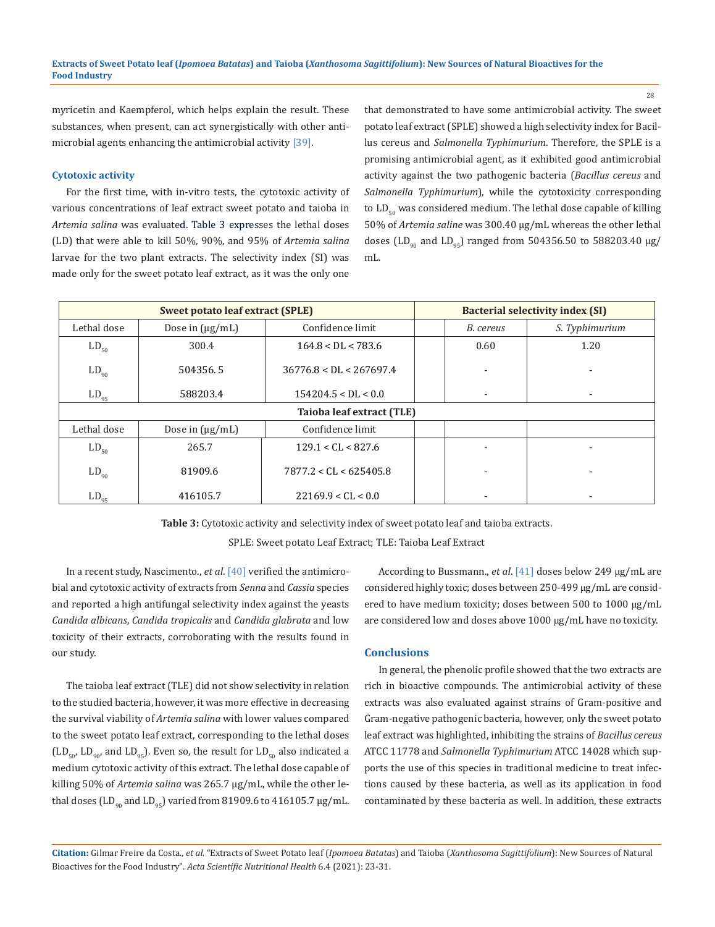myricetin and Kaempferol, which helps explain the result. These substances, when present, can act synergistically with other antimicrobial agents enhancing the antimicrobial activity [39].

#### **Cytotoxic activity**

For the first time, with in-vitro tests, the cytotoxic activity of various concentrations of leaf extract sweet potato and taioba in *Artemia salina* was evaluated. Table 3 expresses the lethal doses (LD) that were able to kill 50%, 90%, and 95% of *Artemia salina* larvae for the two plant extracts. The selectivity index (SI) was made only for the sweet potato leaf extract, as it was the only one that demonstrated to have some antimicrobial activity. The sweet potato leaf extract (SPLE) showed a high selectivity index for Bacillus cereus and *Salmonella Typhimurium*. Therefore, the SPLE is a promising antimicrobial agent, as it exhibited good antimicrobial activity against the two pathogenic bacteria (*Bacillus cereus* and *Salmonella Typhimurium*), while the cytotoxicity corresponding to  $LD_{50}$  was considered medium. The lethal dose capable of killing 50% of *Artemia saline* was 300.40 µg/mL whereas the other lethal doses (LD<sub>90</sub> and LD<sub>95</sub>) ranged from 504356.50 to 588203.40  $\mu$ g/ mL.

| <b>Sweet potato leaf extract (SPLE)</b> |                      | <b>Bacterial selectivity index (SI)</b> |  |           |                |  |
|-----------------------------------------|----------------------|-----------------------------------------|--|-----------|----------------|--|
| Lethal dose                             | Dose in $(\mu g/mL)$ | Confidence limit                        |  | B. cereus | S. Typhimurium |  |
| $LD_{50}$                               | 300.4                | $164.8 <$ DL $<$ 783.6                  |  | 0.60      | 1.20           |  |
| $LD_{90}$                               | 504356.5             | $36776.8 <$ DL $<$ 267697.4             |  |           |                |  |
| $LD_{95}$                               | 588203.4             | $154204.5 <$ DL $< 0.0$                 |  |           | ۰              |  |
| Taioba leaf extract (TLE)               |                      |                                         |  |           |                |  |
| Lethal dose                             | Dose in $(\mu g/mL)$ | Confidence limit                        |  |           |                |  |
| $LD_{50}$                               | 265.7                | 129.1 < CL < 827.6                      |  |           |                |  |
| $LD_{90}$                               | 81909.6              | 7877.2 < CL < 625405.8                  |  |           |                |  |
| $LD_{95}$                               | 416105.7             | 22169.9 < CL < 0.0                      |  |           |                |  |

**Table 3:** Cytotoxic activity and selectivity index of sweet potato leaf and taioba extracts.

SPLE: Sweet potato Leaf Extract; TLE: Taioba Leaf Extract

In a recent study, Nascimento., *et al*. [40] verified the antimicrobial and cytotoxic activity of extracts from *Senna* and *Cassia* species and reported a high antifungal selectivity index against the yeasts *Candida albicans*, *Candida tropicalis* and *Candida glabrata* and low toxicity of their extracts, corroborating with the results found in our study.

The taioba leaf extract (TLE) did not show selectivity in relation to the studied bacteria, however, it was more effective in decreasing the survival viability of *Artemia salina* with lower values compared to the sweet potato leaf extract, corresponding to the lethal doses  $(LD_{50}$ ,  $LD_{90}$ , and  $LD_{95}$ . Even so, the result for  $LD_{50}$  also indicated a medium cytotoxic activity of this extract. The lethal dose capable of killing 50% of *Artemia salina* was 265.7 µg/mL, while the other lethal doses (LD<sub>90</sub> and LD<sub>95</sub>) varied from 81909.6 to 416105.7  $\mu$ g/mL.

According to Bussmann., *et al*. [41] doses below 249 μg/mL are considered highly toxic; doses between 250-499 μg/mL are considered to have medium toxicity; doses between 500 to 1000 μg/mL are considered low and doses above 1000 μg/mL have no toxicity.

#### **Conclusions**

In general, the phenolic profile showed that the two extracts are rich in bioactive compounds. The antimicrobial activity of these extracts was also evaluated against strains of Gram-positive and Gram-negative pathogenic bacteria, however, only the sweet potato leaf extract was highlighted, inhibiting the strains of *Bacillus cereus* ATCC 11778 and *Salmonella Typhimurium* ATCC 14028 which supports the use of this species in traditional medicine to treat infections caused by these bacteria, as well as its application in food contaminated by these bacteria as well. In addition, these extracts

**Citation:** Gilmar Freire da Costa*., et al.* "Extracts of Sweet Potato leaf (*Ipomoea Batatas*) and Taioba (*Xanthosoma Sagittifolium*): New Sources of Natural Bioactives for the Food Industry". *Acta Scientific Nutritional Health* 6.4 (2021): 23-31.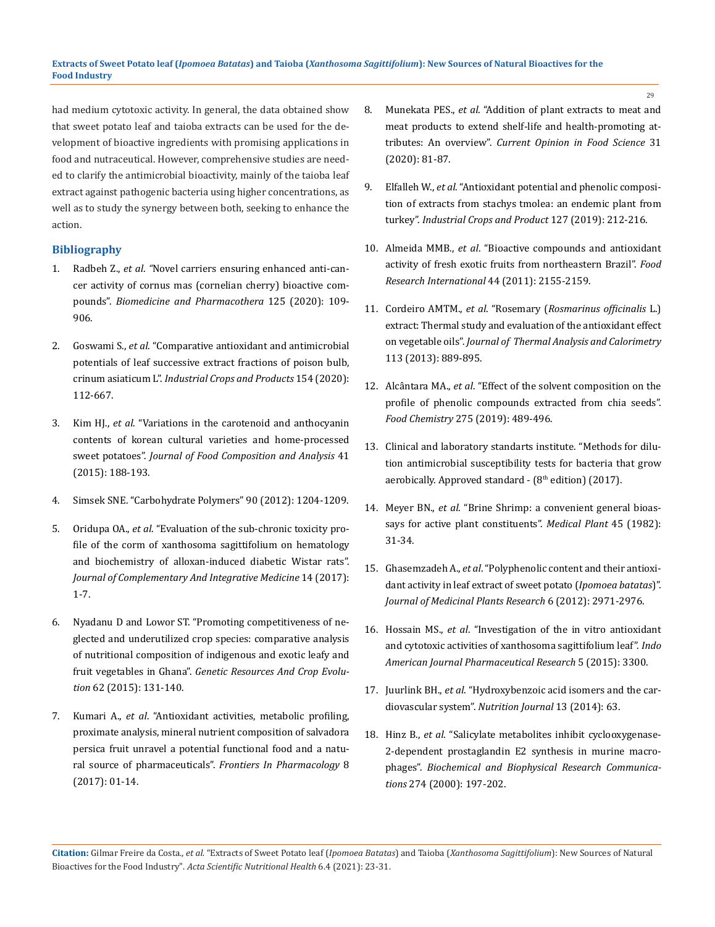had medium cytotoxic activity. In general, the data obtained show that sweet potato leaf and taioba extracts can be used for the development of bioactive ingredients with promising applications in food and nutraceutical. However, comprehensive studies are needed to clarify the antimicrobial bioactivity, mainly of the taioba leaf extract against pathogenic bacteria using higher concentrations, as well as to study the synergy between both, seeking to enhance the action.

## **Bibliography**

- 1. Radbeh Z., *et al*. *"*[Novel carriers ensuring enhanced anti-can](https://pubmed.ncbi.nlm.nih.gov/32106382/)[cer activity of cornus mas \(cornelian cherry\) bioactive com](https://pubmed.ncbi.nlm.nih.gov/32106382/)pounds". *[Biomedicine and Pharmacothera](https://pubmed.ncbi.nlm.nih.gov/32106382/)* 125 (2020): 109- [906.](https://pubmed.ncbi.nlm.nih.gov/32106382/)
- 2. Goswami S., *et al*[. "Comparative antioxidant and antimicrobial](https://www.sciencedirect.com/science/article/abs/pii/S0926669020305835)  [potentials of leaf successive extract fractions of poison bulb,](https://www.sciencedirect.com/science/article/abs/pii/S0926669020305835)  crinum asiaticum L". *[Industrial Crops and Products](https://www.sciencedirect.com/science/article/abs/pii/S0926669020305835)* 154 (2020): [112-667.](https://www.sciencedirect.com/science/article/abs/pii/S0926669020305835)
- 3. Kim HJ., *et al*[. "Variations in the carotenoid and anthocyanin](https://www.researchgate.net/publication/273478108_Variations_in_the_carotenoid_and_anthocyanin_contents_of_Korean_cultural_varieties_and_home-processed_sweet_potatoes)  [contents of korean cultural varieties and home-processed](https://www.researchgate.net/publication/273478108_Variations_in_the_carotenoid_and_anthocyanin_contents_of_Korean_cultural_varieties_and_home-processed_sweet_potatoes)  sweet potatoes". *[Journal of Food Composition and Analysis](https://www.researchgate.net/publication/273478108_Variations_in_the_carotenoid_and_anthocyanin_contents_of_Korean_cultural_varieties_and_home-processed_sweet_potatoes)* 41 [\(2015\): 188-193.](https://www.researchgate.net/publication/273478108_Variations_in_the_carotenoid_and_anthocyanin_contents_of_Korean_cultural_varieties_and_home-processed_sweet_potatoes)
- 4. [Simsek SNE. "Carbohydrate Polymers" 90 \(2012\): 1204-1209.](https://www.journals.elsevier.com/carbohydrate-polymers)
- 5. Oridupa OA., *et al*[. "Evaluation of the sub-chronic toxicity pro](https://pubmed.ncbi.nlm.nih.gov/28306532/)[file of the corm of xanthosoma sagittifolium on hematology](https://pubmed.ncbi.nlm.nih.gov/28306532/)  [and biochemistry of alloxan-induced diabetic Wistar rats".](https://pubmed.ncbi.nlm.nih.gov/28306532/)  *[Journal of Complementary And Integrative Medicine](https://pubmed.ncbi.nlm.nih.gov/28306532/)* 14 (2017): [1-7.](https://pubmed.ncbi.nlm.nih.gov/28306532/)
- 6. [Nyadanu D and Lowor ST. "Promoting competitiveness of ne](https://link.springer.com/article/10.1007/s10722-014-0162-x)[glected and underutilized crop species: comparative analysis](https://link.springer.com/article/10.1007/s10722-014-0162-x)  [of nutritional composition of indigenous and exotic leafy and](https://link.springer.com/article/10.1007/s10722-014-0162-x)  fruit vegetables in Ghana". *[Genetic Resources And Crop Evolu](https://link.springer.com/article/10.1007/s10722-014-0162-x)tion* [62 \(2015\): 131-140.](https://link.springer.com/article/10.1007/s10722-014-0162-x)
- 7. Kumari A., *et al*[. "Antioxidant activities, metabolic profiling,](https://pubmed.ncbi.nlm.nih.gov/28261096/)  [proximate analysis, mineral nutrient composition of salvadora](https://pubmed.ncbi.nlm.nih.gov/28261096/)  [persica fruit unravel a potential functional food and a natu](https://pubmed.ncbi.nlm.nih.gov/28261096/)ral source of pharmaceuticals". *[Frontiers In Pharmacology](https://pubmed.ncbi.nlm.nih.gov/28261096/)* 8 [\(2017\): 01-14.](https://pubmed.ncbi.nlm.nih.gov/28261096/)
- 8. Munekata PES., *et al*[. "Addition of plant extracts to meat and](https://www.sciencedirect.com/science/article/abs/pii/S2214799320300229)  [meat products to extend shelf-life and health-promoting at](https://www.sciencedirect.com/science/article/abs/pii/S2214799320300229)tributes: An overview". *[Current Opinion in Food Science](https://www.sciencedirect.com/science/article/abs/pii/S2214799320300229)* 31 [\(2020\): 81-87.](https://www.sciencedirect.com/science/article/abs/pii/S2214799320300229)
- 9. Elfalleh W., *et al*[. "Antioxidant potential and phenolic composi](https://www.sciencedirect.com/science/article/abs/pii/S0926669018309518)[tion of extracts from stachys tmolea: an endemic plant from](https://www.sciencedirect.com/science/article/abs/pii/S0926669018309518)  turkey". *[Industrial Crops and Product](https://www.sciencedirect.com/science/article/abs/pii/S0926669018309518)* 127 (2019): 212-216.
- 10. Almeida MMB., *et al*[. "Bioactive compounds and antioxidant](https://www.sciencedirect.com/science/article/pii/S0963996911002109)  [activity of fresh exotic fruits from northeastern Brazil".](https://www.sciencedirect.com/science/article/pii/S0963996911002109) *Food [Research International](https://www.sciencedirect.com/science/article/pii/S0963996911002109)* 44 (2011): 2155-2159.
- 11. Cordeiro AMTM., *et al*. "Rosemary (*[Rosmarinus officinalis](https://www.researchgate.net/publication/262909963_Rosemary_Rosmarinus_officinalis_L_extract_Thermal_study_and_evaluation_of_the_antioxidant_effect_on_vegetable_oils)* L.) [extract: Thermal study and evaluation of the antioxidant effect](https://www.researchgate.net/publication/262909963_Rosemary_Rosmarinus_officinalis_L_extract_Thermal_study_and_evaluation_of_the_antioxidant_effect_on_vegetable_oils)  on vegetable oils". *[Journal of Thermal Analysis and Calorimetry](https://www.researchgate.net/publication/262909963_Rosemary_Rosmarinus_officinalis_L_extract_Thermal_study_and_evaluation_of_the_antioxidant_effect_on_vegetable_oils)* [113 \(2013\): 889-895.](https://www.researchgate.net/publication/262909963_Rosemary_Rosmarinus_officinalis_L_extract_Thermal_study_and_evaluation_of_the_antioxidant_effect_on_vegetable_oils)
- 12. Alcântara MA., *et al*[. "Effect of the solvent composition on the](https://pubmed.ncbi.nlm.nih.gov/30724224/)  [profile of phenolic compounds extracted from chia seeds".](https://pubmed.ncbi.nlm.nih.gov/30724224/)  *Food Chemistry* [275 \(2019\): 489-496.](https://pubmed.ncbi.nlm.nih.gov/30724224/)
- 13. [Clinical and laboratory standarts institute. "Methods for dilu](https://clsi.org/media/1468/m11a8_sample.pdf)[tion antimicrobial susceptibility tests for bacteria that grow](https://clsi.org/media/1468/m11a8_sample.pdf)  aerobically. Approved standard -  $(8<sup>th</sup>$  edition) (2017).
- 14. Meyer BN., *et al*[. "Brine Shrimp: a convenient general bioas](https://pubmed.ncbi.nlm.nih.gov/17396775/)[says for active plant constituents".](https://pubmed.ncbi.nlm.nih.gov/17396775/) *Medical Plant* 45 (1982): [31-34.](https://pubmed.ncbi.nlm.nih.gov/17396775/)
- 15. Ghasemzadeh A., *et al*[. "Polyphenolic content and their antioxi](https://www.researchgate.net/publication/225008408_Polyphenolic_content_and_their_antioxidant_activity_in_leaf_extract_of_sweet_potato_Ipomoea_batatas)[dant activity in leaf extract of sweet potato \(](https://www.researchgate.net/publication/225008408_Polyphenolic_content_and_their_antioxidant_activity_in_leaf_extract_of_sweet_potato_Ipomoea_batatas)*Ipomoea batatas*)". *[Journal of Medicinal Plants Research](https://www.researchgate.net/publication/225008408_Polyphenolic_content_and_their_antioxidant_activity_in_leaf_extract_of_sweet_potato_Ipomoea_batatas)* 6 (2012): 2971-2976.
- 16. Hossain MS., *et al*[. "Investigation of the in vitro antioxidant](https://www.semanticscholar.org/paper/Investigation-of-the-In-Vitro-Antioxidant-and-of-Hossain-Asaduzzaman/50a58362ab06a25a4e3d39892317b46d4a5253bb)  [and cytotoxic activities of xanthosoma sagittifolium leaf".](https://www.semanticscholar.org/paper/Investigation-of-the-In-Vitro-Antioxidant-and-of-Hossain-Asaduzzaman/50a58362ab06a25a4e3d39892317b46d4a5253bb) *Indo [American Journal Pharmaceutical Research](https://www.semanticscholar.org/paper/Investigation-of-the-In-Vitro-Antioxidant-and-of-Hossain-Asaduzzaman/50a58362ab06a25a4e3d39892317b46d4a5253bb)* 5 (2015): 3300.
- 17. Juurlink BH., *et al*[. "Hydroxybenzoic acid isomers and the car](https://www.ncbi.nlm.nih.gov/pmc/articles/PMC4074389/)diovascular system". *[Nutrition Journal](https://www.ncbi.nlm.nih.gov/pmc/articles/PMC4074389/)* 13 (2014): 63.
- 18. Hinz B., *et al*[. "Salicylate metabolites inhibit cyclooxygenase-](https://pubmed.ncbi.nlm.nih.gov/10903918/)[2-dependent prostaglandin E2 synthesis in murine macro](https://pubmed.ncbi.nlm.nih.gov/10903918/)phages". *[Biochemical and Biophysical Research Communica](https://pubmed.ncbi.nlm.nih.gov/10903918/)tions* [274 \(2000\): 197-202.](https://pubmed.ncbi.nlm.nih.gov/10903918/)

**Citation:** Gilmar Freire da Costa*., et al.* "Extracts of Sweet Potato leaf (*Ipomoea Batatas*) and Taioba (*Xanthosoma Sagittifolium*): New Sources of Natural Bioactives for the Food Industry". *Acta Scientific Nutritional Health* 6.4 (2021): 23-31.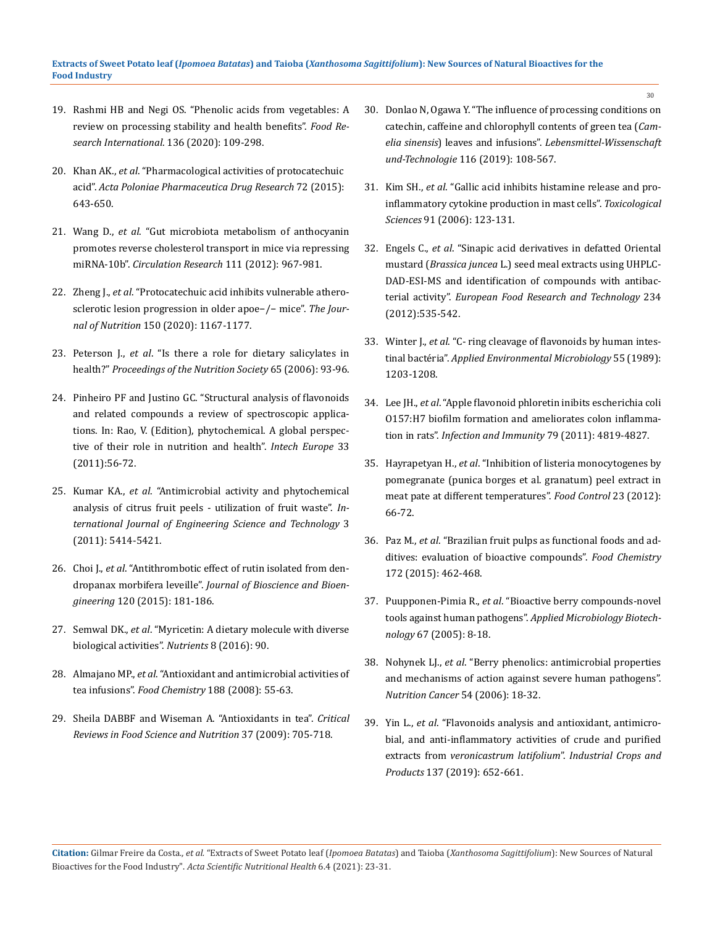- 19. [Rashmi HB and Negi OS. "Phenolic acids from vegetables: A](https://pubmed.ncbi.nlm.nih.gov/32846511/)  [review on processing stability and health benefits".](https://pubmed.ncbi.nlm.nih.gov/32846511/) *Food Re[search International](https://pubmed.ncbi.nlm.nih.gov/32846511/)*. 136 (2020): 109-298.
- 20. Khan AK., *et al*[. "Pharmacological activities of protocatechuic](https://pubmed.ncbi.nlm.nih.gov/25737736/)  acid". *[Acta Poloniae Pharmaceutica Drug Research](https://pubmed.ncbi.nlm.nih.gov/25737736/)* 72 (2015): [643-650.](https://pubmed.ncbi.nlm.nih.gov/25737736/)
- 21. Wang D., *et al*[. "Gut microbiota metabolism of anthocyanin](https://pubmed.ncbi.nlm.nih.gov/22821931/)  [promotes reverse cholesterol transport in mice via repressing](https://pubmed.ncbi.nlm.nih.gov/22821931/)  miRNA-10b". *[Circulation Research](https://pubmed.ncbi.nlm.nih.gov/22821931/)* 111 (2012): 967-981.
- 22. Zheng J., *et al*[. "Protocatechuic acid inhibits vulnerable athero](https://pubmed.ncbi.nlm.nih.gov/32047914/)[sclerotic lesion progression in older apoe−/− mice".](https://pubmed.ncbi.nlm.nih.gov/32047914/) *The Journal of Nutrition* [150 \(2020\): 1167-1177.](https://pubmed.ncbi.nlm.nih.gov/32047914/)
- 23. Peterson J., *et al*[. "Is there a role for dietary salicylates in](https://pubmed.ncbi.nlm.nih.gov/16441948/)  health?" *[Proceedings of the Nutrition Society](https://pubmed.ncbi.nlm.nih.gov/16441948/)* 65 (2006): 93-96.
- 24. [Pinheiro PF and Justino GC. "Structural analysis of flavonoids](https://www.researchgate.net/publication/221929468_Structural_Analysis_of_Flavonoids_and_Related_Compounds_-_A_Review_of_Spectroscopic_Applications)  [and related compounds a review of spectroscopic applica](https://www.researchgate.net/publication/221929468_Structural_Analysis_of_Flavonoids_and_Related_Compounds_-_A_Review_of_Spectroscopic_Applications)[tions. In: Rao, V. \(Edition\), phytochemical. A global perspec](https://www.researchgate.net/publication/221929468_Structural_Analysis_of_Flavonoids_and_Related_Compounds_-_A_Review_of_Spectroscopic_Applications)[tive of their role in nutrition and health".](https://www.researchgate.net/publication/221929468_Structural_Analysis_of_Flavonoids_and_Related_Compounds_-_A_Review_of_Spectroscopic_Applications) *Intech Europe* 33 [\(2011\):56-72.](https://www.researchgate.net/publication/221929468_Structural_Analysis_of_Flavonoids_and_Related_Compounds_-_A_Review_of_Spectroscopic_Applications)
- 25. Kumar KA., *et al*[. "Antimicrobial activity and phytochemical](https://www.researchgate.net/publication/267099539_Antimicrobial_Activity_and_Phytochemical_Analysis_of_Citrus_Fruit_Peels_-Utilization_of_Fruit_Waste)  [analysis of citrus fruit peels - utilization of fruit waste".](https://www.researchgate.net/publication/267099539_Antimicrobial_Activity_and_Phytochemical_Analysis_of_Citrus_Fruit_Peels_-Utilization_of_Fruit_Waste) *In[ternational Journal of Engineering Science and Technology](https://www.researchgate.net/publication/267099539_Antimicrobial_Activity_and_Phytochemical_Analysis_of_Citrus_Fruit_Peels_-Utilization_of_Fruit_Waste)* 3 [\(2011\): 5414-5421.](https://www.researchgate.net/publication/267099539_Antimicrobial_Activity_and_Phytochemical_Analysis_of_Citrus_Fruit_Peels_-Utilization_of_Fruit_Waste)
- 26. Choi J., *et al*[. "Antithrombotic effect of rutin isolated from den](https://pubmed.ncbi.nlm.nih.gov/25777266/)dropanax morbifera leveille". *[Journal of Bioscience and Bioen](https://pubmed.ncbi.nlm.nih.gov/25777266/)gineering* [120 \(2015\): 181-186.](https://pubmed.ncbi.nlm.nih.gov/25777266/)
- 27. Semwal DK., *et al*[. "Myricetin: A dietary molecule with diverse](https://pubmed.ncb.nlm.nih.gov/26891321/)  [biological activities".](https://pubmed.ncb.nlm.nih.gov/26891321/) *Nutrients* 8 (2016): 90.
- 28. Almajano MP., *et al*[. "Antioxidant and antimicrobial activities of](https://www.sciencedirect.com/science/article/abs/pii/S0308814607010631)  tea infusions". *Food Chemistry* [188 \(2008\): 55-63.](https://www.sciencedirect.com/science/article/abs/pii/S0308814607010631)
- 29. [Sheila DABBF and Wiseman A. "Antioxidants in tea".](https://www.tandfonline.com/doi/abs/10.1080/10408399709527798) *Critical [Reviews in Food Science and Nutrition](https://www.tandfonline.com/doi/abs/10.1080/10408399709527798)* 37 (2009): 705-718.

30. [Donlao N, Ogawa Y. "The influence of processing conditions on](https://www.researchgate.net/publication/335494283_The_influence_of_processing_conditions_on_catechin_caffeine_and_chlorophyll_contents_of_green_tea_Camelia_sinensis_leaves_and_infusions)  [catechin, caffeine and chlorophyll contents of green tea \(](https://www.researchgate.net/publication/335494283_The_influence_of_processing_conditions_on_catechin_caffeine_and_chlorophyll_contents_of_green_tea_Camelia_sinensis_leaves_and_infusions)*Camelia sinensis*) leaves and infusions". *[Lebensmittel-Wissenschaft](https://www.researchgate.net/publication/335494283_The_influence_of_processing_conditions_on_catechin_caffeine_and_chlorophyll_contents_of_green_tea_Camelia_sinensis_leaves_and_infusions)  und-Technologie* [116 \(2019\): 108-567.](https://www.researchgate.net/publication/335494283_The_influence_of_processing_conditions_on_catechin_caffeine_and_chlorophyll_contents_of_green_tea_Camelia_sinensis_leaves_and_infusions)

30

- 31. Kim SH., *et al*[. "Gallic acid inhibits histamine release and pro](https://pubmed.ncbi.nlm.nih.gov/16322071/)[inflammatory cytokine production in mast cells".](https://pubmed.ncbi.nlm.nih.gov/16322071/) *Toxicological Sciences* [91 \(2006\): 123-131.](https://pubmed.ncbi.nlm.nih.gov/16322071/)
- 32. Engels C., *et al*[. "Sinapic acid derivatives in defatted Oriental](https://www.researchgate.net/publication/257373093_Sinapic_acid_derivatives_in_defatted_Oriental_mustard_Brassica_juncea_L_seed_meal_extracts_using_UHPLC-DAD-ESI-MSn_and_identification_of_compounds_with_antibacterial_activity)  mustard (*Brassica juncea* [L.\) seed meal extracts using UHPLC-](https://www.researchgate.net/publication/257373093_Sinapic_acid_derivatives_in_defatted_Oriental_mustard_Brassica_juncea_L_seed_meal_extracts_using_UHPLC-DAD-ESI-MSn_and_identification_of_compounds_with_antibacterial_activity)[DAD-ESI-MS and identification of compounds with antibac](https://www.researchgate.net/publication/257373093_Sinapic_acid_derivatives_in_defatted_Oriental_mustard_Brassica_juncea_L_seed_meal_extracts_using_UHPLC-DAD-ESI-MSn_and_identification_of_compounds_with_antibacterial_activity)terial activity". *[European Food Research and Technology](https://www.researchgate.net/publication/257373093_Sinapic_acid_derivatives_in_defatted_Oriental_mustard_Brassica_juncea_L_seed_meal_extracts_using_UHPLC-DAD-ESI-MSn_and_identification_of_compounds_with_antibacterial_activity)* 234 [\(2012\):535-542.](https://www.researchgate.net/publication/257373093_Sinapic_acid_derivatives_in_defatted_Oriental_mustard_Brassica_juncea_L_seed_meal_extracts_using_UHPLC-DAD-ESI-MSn_and_identification_of_compounds_with_antibacterial_activity)
- 33. Winter J., *et al*[. "C- ring cleavage of flavonoids by human intes](https://pubmed.ncbi.nlm.nih.gov/2757380/)tinal bactéria". *[Applied Environmental Microbiology](https://pubmed.ncbi.nlm.nih.gov/2757380/)* 55 (1989): [1203-1208.](https://pubmed.ncbi.nlm.nih.gov/2757380/)
- 34. Lee JH., *et al*[. "Apple flavonoid phloretin inibits escherichia coli](https://pubmed.ncbi.nlm.nih.gov/21930760/)  [O157:H7 biofilm formation and ameliorates colon inflamma](https://pubmed.ncbi.nlm.nih.gov/21930760/)tion in rats". *[Infection and Immunity](https://pubmed.ncbi.nlm.nih.gov/21930760/)* 79 (2011): 4819-4827.
- 35. Hayrapetyan H., *et al*[. "Inhibition of listeria monocytogenes by](https://research.wur.nl/en/publications/inhibition-of-listeria-monocytogenes-by-pomegranate-punica-granat)  [pomegranate \(punica borges et al. granatum\) peel extract in](https://research.wur.nl/en/publications/inhibition-of-listeria-monocytogenes-by-pomegranate-punica-granat)  [meat pate at different temperatures".](https://research.wur.nl/en/publications/inhibition-of-listeria-monocytogenes-by-pomegranate-punica-granat) *Food Control* 23 (2012): [66-72.](https://research.wur.nl/en/publications/inhibition-of-listeria-monocytogenes-by-pomegranate-punica-granat)
- 36. Paz M., *et al*[. "Brazilian fruit pulps as functional foods and ad](https://pubmed.ncbi.nlm.nih.gov/25442579/)[ditives: evaluation of bioactive compounds".](https://pubmed.ncbi.nlm.nih.gov/25442579/) *Food Chemistry* [172 \(2015\): 462-468.](https://pubmed.ncbi.nlm.nih.gov/25442579/)
- 37. Puupponen-Pimia R., *et al*[. "Bioactive berry compounds-novel](https://pubmed.ncbi.nlm.nih.gov/15578177/)  tools against human pathogens". *[Applied Microbiology Biotech](https://pubmed.ncbi.nlm.nih.gov/15578177/)nology* [67 \(2005\): 8-18.](https://pubmed.ncbi.nlm.nih.gov/15578177/)
- 38. Nohynek LJ., *et al*[. "Berry phenolics: antimicrobial properties](https://pubmed.ncbi.nlm.nih.gov/16800770/)  [and mechanisms of action against severe human pathogens".](https://pubmed.ncbi.nlm.nih.gov/16800770/)  *[Nutrition Cancer](https://pubmed.ncbi.nlm.nih.gov/16800770/)* 54 (2006): 18-32.
- 39. Yin L., *et al*[. "Flavonoids analysis and antioxidant, antimicro](https://www.sciencedirect.com/science/article/abs/pii/S0926669019302572)[bial, and anti-inflammatory activities of crude and purified](https://www.sciencedirect.com/science/article/abs/pii/S0926669019302572)  extracts from *[veronicastrum latifolium](https://www.sciencedirect.com/science/article/abs/pii/S0926669019302572)*". *Industrial Crops and Products* [137 \(2019\): 652-661.](https://www.sciencedirect.com/science/article/abs/pii/S0926669019302572)